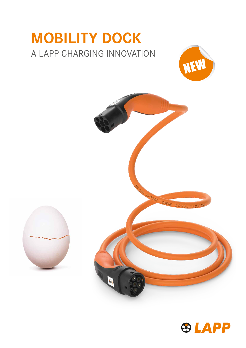## MOBILITY DOCK A LAPP CHARGING INNOVATION





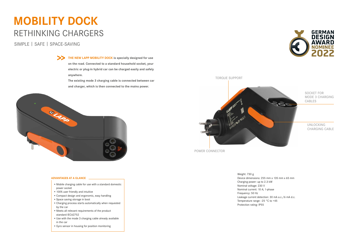SOCKET FOR MODE 3 CHARGING CABLES

TORQUE SUPPORT

POWER CONNECTOR

UNLOCKING CHARGING CABLE

Weight: 730 g Device dimensions: 255 mm x 135 mm x 65 mm Charging power: up to 2.3 kW Nominal voltage: 230 V Nominal current: 10 A; 1-phase Frequency: 50 Hz Leakage current detection: 30 mA a.c./6 mA d.c. Temperature range: -25 °C to +45 Protection rating: IP55





THE NEW LAPP MOBILITY DOCK is specially designed for use on the road. Connected to a standard household socket, your electric or plug-in hybrid car can be charged easily and safely anywhere.

## MOBILITY DOCK RETHINKING CHARGERS

The existing mode 3 charging cable is connected between car and charger, which is then connected to the mains power.



SIMPLE | SAFE | SPACE-SAVING

- Mobile charging cable for use with a standard domestic power socket
- 100% user friendly and intuitive
- Compact design and ergonomic, easy handling
- Space saving storage in boot
- Charging process starts automatically when requested by the car
- Meets all relevant requirements of the product standard IEC62752
- Use with the mode 3 charging cable already available in the car
- Gyro sensor in housing for position monitoring

## ADVANTAGES AT A GLANCE